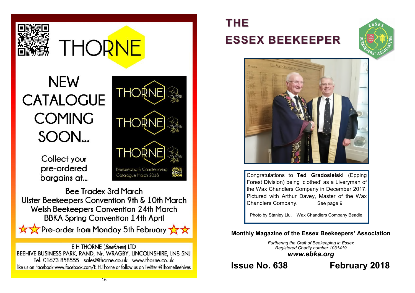

# **THORNE**

**THORM** 

THOR

THOR

Beekeeping & Candlemaking Catalogue March 2018

# **NEW CATALOGUE COMING** SOON...

Collect your pre-ordered bargains at...

**Bee Tradex 3rd March** Ulster Beekeepers Convention 9th & 10th March **Welsh Beekeepers Convention 24th March BBKA Spring Convention 14th April** 

Pre-order from Monday 5th February XX



E H THORNE (Beehives) LTD BEEHIVE BUSINESS PARK, RAND, Nr. WRAGBY, LINCOLNSHIRE, LN8 5NJ Tel. 01673 858555 sales@thorne.co.uk www.thorne.co.uk like us on Facebook www.facebook.com/E.H.Thorne or follow us on Twitter @ThorneBeehives

# **THE ESSEX BEEKEEPER**





Congratulations to **Ted Gradosielski** (Epping Forest Division) being 'clothed' as a Liveryman of the Wax Chandlers Company in December 2017. Pictured with Arthur Davey, Master of the Wax Chandlers Company. See page 9.

Photo by Stanley Liu. Wax Chandlers Company Beadle.

# **Monthly Magazine of the Essex Beekeepers' Association**

*Furthering the Craft of Beekeeping in Essex Registered Charity number 1031419 www.ebka.org*

**Issue No. 638 February 2018**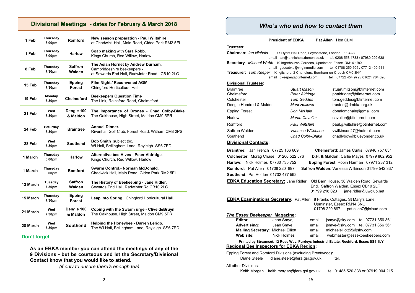### **Divisional Meetings - dates for February & March 2018**

| 1 Feb    | Thursday<br>8.00pm | Romford                  | New season preparation - Paul Wiltshire<br>at Chadwick Hall, Main Road, Gidea Park RM2 5EL                        |
|----------|--------------------|--------------------------|-------------------------------------------------------------------------------------------------------------------|
| 1 Feb    | Thursday<br>8.00pm | <b>Harlow</b>            | Soap making with Sara Robb.<br>Kings Church, Red Willow, Harlow                                                   |
| 8 Feb    | Thursday<br>7.30pm | <b>Saffron</b><br>Walden | The Asian Hornet by Andrew Durham,<br>Cambridgeshire beekeepers -<br>at Sewards End Hall, Radwinter Road CB10 2LG |
| 15 Feb   | Thursday<br>7.30pm | <b>Epping</b><br>Forest  | Film Night / Reconvened AGM.<br>Chingford Horticultural Hall                                                      |
| 19 Feb   | Monday<br>7.30pm   | <b>Chelmsford</b>        | <b>Beekeepers Question Time</b><br>The Link, Rainsford Road, Chelmsford                                           |
| 21 Feb   | Wed<br>7.30pm      | Dengie 100<br>& Maldon   | The Importance of Drones - Chad Colby-Blake.<br>The Oakhouse, High Street, Maldon CM9 5PR                         |
| 24 Feb   | Saturday<br>7.30pm | <b>Braintree</b>         | <b>Annual Dinner.</b><br>Rivenhall Golf Club, Forest Road, Witham CM8 2PS                                         |
| 28 Feb   | Wed<br>7.30pm      | Southend                 | Bob Smith subject tbc.<br>WI Hall, Bellingham Lane, Rayleigh SS6 7ED                                              |
| 1 March  | Thursday<br>8.00pm | <b>Harlow</b>            | Alternative bee Hives - Peter Aldridge.<br>Kings Church, Red Willow, Harlow                                       |
| 1 March  | Thursday<br>8.00pm | <b>Romford</b>           | Swarm Control.- Norman McDonald.<br>Chadwick Hall, Main Road, Gidea Park RM2 5EL                                  |
| 13 March | Tuesday<br>7.30pm  | <b>Saffron</b><br>Walden | The History of Beekeeping - Jane Ridler,<br>Sewards End Hall, Radwinter Rd CB10 2LG                               |
| 15 March | Thursday<br>7.30pm | <b>Epping</b><br>Forest  | Leap into Spring. Chingford Horticultural Hall.                                                                   |
| 21 March | Wed<br>7.30pm      | Dengie 100<br>& Maldon   | Coping with the Swarm urge - Clive deBruyn<br>The Oakhouse, High Street, Maldon CM9 5PR                           |
| 28 March | Wed<br>7.30pm      | <b>Southend</b>          | Helping the Honeybee - Darren Lerigo.<br>The WI Hall, Bellingham Lane, Rayleigh SS6 7ED                           |

#### **Don't forget**

**As an EBKA member you can attend the meetings of any of the 9 Divisions - but be courteous and let the Secretary/Divisional Contact know that you would like to attend.**

*(if only to ensure there's enough tea).*

### *Who's who and how to contact them*

**President of EBKA** Pat Allen Hon CLM

#### **Trustees:**

**Chairman**: *Ian Nichols* 17 Dyers Hall Road, Leytonstone, London E11 4AD email ian@iannichols.demon.co.uk tel. 0208 558 4733 / 07980 299 638 **Secretary**: *Michael Webb* 19 Ingrebourne Gardens, Upminster, Essex RM14 1BQ email gsecebka@virginmedia.com tel. 01708 250 606 / 07712 490 511 **Treasurer**: *Tom Keeper* Kingfishers, 2 Chandlers, Burnham-on-Crouch CM0 8NY email t.keeper@btinternet.com tel: 07722 454 972 / 01621 784 626 **Divisional Trustees:**

| <b>Stuart Mitson</b>   | stuart.mitson@btinternet.com    |
|------------------------|---------------------------------|
|                        | phaldridge@btinternet.com       |
| <b>Tom Geddes</b>      | tom.geddes@btinternet.com       |
| Mark Hallows           | trustee@dmbka.org.uk            |
| Don McHale             | donaldmchale@gmail.com          |
| <b>Martin Cavalier</b> | cavalier@btinternet.com         |
| <b>Paul Wiltshire</b>  | paul.g.wiltshire@btinternet.com |
| Vanessa Wilkinson      | vwilkinson27@hotmail.com        |
| Chad Colby-Blake       | chadlyboy@blueyonder.co.uk      |
|                        | Peter Aldridge                  |

#### **Divisional Contacts:**

**Southend**: Pat Holden 01702 477 592

**Braintree**: Jan French 07725 166 609 **Chelmsford**: James Curtis 07940 757 831 **Colchester**: Morag Chase 01206 522 576 **D.H. & Maldon**: Carlie Mayes 07979 862 952 **Harlow**: Nick Holmes 07730 735 752 **Epping Forest**: Robin Harman 07971 237 312 **Romford:** Pat Allen 01708 220 897 **Saffron Walden**: Vanessa Wilkinson 01799 542 337

**EBKA Education Secretary:** Jane Ridler Old Barn House, 36 Walden Road, Sewards End, Saffron Walden, Essex CB10 2LF 01799 218 023 iane.ridler@uwclub.net

**EBKA Examinations Secretary:** Pat Allen , 8 Franks Cottages, St Mary's Lane, Upminster, Essex RM14 3NU 01708 220 897 pat.allen7@icloud.com *The Essex Beekeeper* **Magazine:** email: jsmye@sky.com tel. 07731 856 361

| Jean Sinye,                               |
|-------------------------------------------|
| Jean Smye                                 |
| <b>Mailing Secretary: Michael Elliott</b> |
| Nick Holmes                               |
|                                           |

**Advertising**: Jean Smye email: jsmye@sky.com tel. 07731 856 361 email: michaelelliott55@sky.com email: webmaster@essexbeekeepers.com

 **Printed by Streamset, 12 Rose Way, Purdeys Industrial Estate, Rochford, Essex SS4 1LY Regional Bee Inspectors for EBKA Region:**

Epping Forest and Romford Divisions (excluding Brentwood):

| Diane Steele | diane.steele@fera.gsi.gov.uk | tel. |
|--------------|------------------------------|------|
|              |                              |      |

All other Divisions:

Keith Morgan keith.morgan@fera.gsi.gov.uk tel. 01485 520 838 or 07919 004 215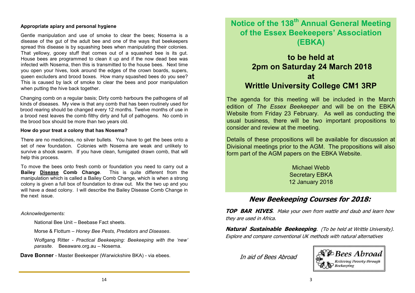#### **Appropriate apiary and personal hygiene**

Gentle manipulation and use of smoke to clear the bees; Nosema is a disease of the gut of the adult bee and one of the ways that beekeepers spread this disease is by squashing bees when manipulating their colonies. That yellowy, gooey stuff that comes out of a squashed bee is its gut. House bees are programmed to clean it up and if the now dead bee was infected with Nosema, then this is transmitted to the house bees. Next time you open your hives, look around the edges of the crown boards, supers, queen excluders and brood boxes. How many squashed bees do you see? This is caused by lack of smoke to clear the bees and poor manipulation when putting the hive back together.

Changing comb on a regular basis; Dirty comb harbours the pathogens of all kinds of diseases. My view is that any comb that has been routinely used for brood rearing should be changed every 12 months. Twelve months of use in a brood nest leaves the comb filthy dirty and full of pathogens. No comb in the brood box should be more than two years old.

#### **How do your treat a colony that has Nosema?**

There are no medicines, no silver bullets. You have to get the bees onto a set of new foundation. Colonies with Nosema are weak and unlikely to survive a shook swarm. If you have clean, fumigated drawn comb, that will help this process.

To move the bees onto fresh comb or foundation you need to carry out a **Bailey Disease Comb Change**. This is quite different from the manipulation which is called a Bailey Comb Change, which is when a strong colony is given a full box of foundation to draw out. Mix the two up and you will have a dead colony. I will describe the Bailey Disease Comb Change in the next issue.

#### *Acknowledgements:*

National Bee Unit – Beebase Fact sheets.

Morse & Flottum – *Honey Bee Pests, Predators and Diseases*.

Wolfgang Ritter - *Practical Beekeeping: Beekeeping with the 'new' parasite*. Beeaware.org.au – Nosema.

**Dave Bonner** - Master Beekeeper (Warwickshire BKA) - via ebees.

# **Notice of the 138th Annual General Meeting of the Essex Beekeepers' Association (EBKA)**

# **to be held at 2pm on Saturday 24 March 2018 at Writtle University College CM1 3RP**

The agenda for this meeting will be included in the March edition of *The Essex Beekeeper* and will be on the EBKA Website from Friday 23 February. As well as conducting the usual business, there will be two important propositions to consider and review at the meeting.

Details of these propositions will be available for discussion at Divisional meetings prior to the AGM. The propositions will also form part of the AGM papers on the EBKA Website.

> Michael Webb Secretary EBKA 12 January 2018

# **New Beekeeping Courses for 2018:**

**TOP BAR HIVES**. Make your own from wattle and daub and learn how they are used in Africa.

**Natural Sustainable Beekeeping**. (To be held at Writtle University). Explore and compare conventional UK methods with natural alternatives

In aid of Bees Abroad

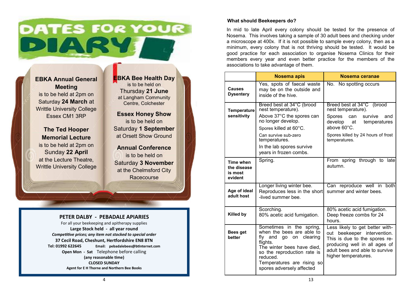# **DATES FOR YOUR** DIARY

**EBKA Annual General Meeting** is to be held at 2pm on Saturday **24 March** at Writtle University College Essex CM1 3RP

**The Ted Hooper Memorial Lecture** is to be held at 2pm on Sunday **22 April**  at the Lecture Theatre, Writtle University College **EBKA Bee Health Day** is to be held on Thursday **21 June** at Langham Community Centre, Colchester

**Essex Honey Show** is to be held on Saturday **1 September**  at Orsett Show Ground

**Annual Conference** is to be held on Saturday **3 November** at the Chelmsford City **Racecourse** 

### **PETER DALBY - PEBADALE APIARIES**

For all your beekeeping and apitherapy supplies **Large Stock held - all year round** *Competitive prices; any item not stocked to special order* **37 Cecil Road, Cheshunt, Hertfordshire EN8 8TN Tel: 01992 622645 Email: pebadalebees@btinternet.com Open Mon - Sat** Telephone before calling **(any reasonable time) CLOSED SUNDAY Agent for E H Thorne and Northern Bee Books**

#### **What should Beekeepers do?**

In mid to late April every colony should be tested for the presence of Nosema. This involves taking a sample of 30 adult bees and checking under a microscope at 400x. If it is not possible to sample every colony, then as a minimum, every colony that is not thriving should be tested. It would be good practice for each association to organise Nosema Clinics for their members every year and even better practice for the members of the associations to take advantage of them.

|                                                | <b>Nosema apis</b>                                                                                                                                                                                                                 | Nosema ceranae                                                                                                                                                                             |
|------------------------------------------------|------------------------------------------------------------------------------------------------------------------------------------------------------------------------------------------------------------------------------------|--------------------------------------------------------------------------------------------------------------------------------------------------------------------------------------------|
| <b>Causes</b><br><b>Dysentery</b>              | Yes, spots of faecal waste<br>may be on the outside and<br>inside of the hive.                                                                                                                                                     | No. No spotting occurs                                                                                                                                                                     |
| <b>Temperature</b><br>sensitivity              | Breed best at 34°C (brood<br>nest temperature).<br>Above 37°C the spores can<br>no longer develop.<br>Spores killed at 60°C.<br>Can survive sub-zero<br>temperatures.<br>In the lab spores survive<br>years in frozen combs.       | Breed best at 34°C (brood<br>nest temperature).<br>Spores<br>can<br>survive<br>and<br>develop at<br>temperatures<br>above 60°C.<br>Spores killed by 24 hours of frost<br>temperatures.     |
| Time when<br>the disease<br>is most<br>evident | Spring.                                                                                                                                                                                                                            | From spring through to late<br>autumn.                                                                                                                                                     |
| Age of ideal<br>adult host                     | Longer living winter bee.<br>Reproduces less in the short<br>-lived summer bee.                                                                                                                                                    | Can reproduce well in both<br>summer and winter bees.                                                                                                                                      |
| <b>Killed by</b>                               | Scorching.<br>80% acetic acid fumigation.                                                                                                                                                                                          | 80% acetic acid fumigation.<br>Deep freeze combs for 24<br>hours.                                                                                                                          |
| Bees get<br>better                             | Sometimes in the spring,<br>when the bees are able to<br>fly and<br>go on clearing<br>flights.<br>The winter bees have died,<br>so the reproduction rate is<br>reduced.<br>Temperatures are rising so<br>spores adversely affected | Less likely to get better with-<br>out beekeeper intervention.<br>This is due to the spores re-<br>producing well in all ages of<br>adult bees and able to survive<br>higher temperatures. |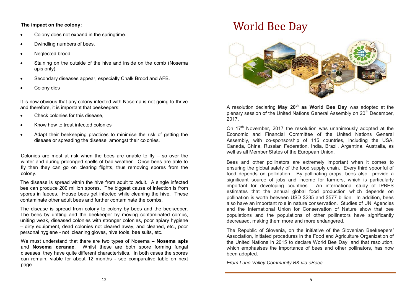#### **The impact on the colony:**

- Colony does not expand in the springtime.
- Dwindling numbers of bees.
- Neglected brood.
- Staining on the outside of the hive and inside on the comb (Nosema apis only).
- Secondary diseases appear, especially Chalk Brood and AFB.
- Colony dies

It is now obvious that any colony infected with Nosema is not going to thrive and therefore, it is important that beekeepers:

- Check colonies for this disease.
- Know how to treat infected colonies
- Adapt their beekeeping practices to minimise the risk of getting the disease or spreading the disease amongst their colonies.

Colonies are most at risk when the bees are unable to fly  $-$  so over the winter and during prolonged spells of bad weather. Once bees are able to fly then they can go on clearing flights, thus removing spores from the colony.

The disease is spread within the hive from adult to adult. A single infected bee can produce 200 million spores. The biggest cause of infection is from spores in faeces. House bees get infected while cleaning the hive. These contaminate other adult bees and further contaminate the combs.

The disease is spread from colony to colony by bees and the beekeeper. The bees by drifting and the beekeeper by moving contaminated combs, uniting weak, diseased colonies with stronger colonies, poor apiary hygiene – dirty equipment, dead colonies not cleared away, and cleaned, etc., poor personal hygiene - not cleaning gloves, hive tools, bee suits, etc.

We must understand that there are two types of Nosema – **Nosema apis**  and **Nosema ceranae**. Whilst these are both spore forming fungal diseases, they have quite different characteristics. In both cases the spores can remain, viable for about 12 months - see comparative table on next page.

# World Bee Day



A resolution declaring **May 20th as World Bee Day** was adopted at the plenary session of the United Nations General Assembly on 20<sup>th</sup> December, 2017.

On 17<sup>th</sup> November, 2017 the resolution was unanimously adopted at the Economic and Financial Committee of the United Nations General Assembly, with co-sponsorship of 115 countries, including the USA, Canada, China, Russian Federation, India, Brazil, Argentina, Australia, as well as all Member States of the European Union.

Bees and other pollinators are extremely important when it comes to ensuring the global safety of the food supply chain. Every third spoonful of food depends on pollination. By pollinating crops, bees also provide a significant source of jobs and income for farmers, which is particularly important for developing countries. An international study of IPBES estimates that the annual global food production which depends on pollination is worth between USD \$235 and \$577 billion. In addition, bees also have an important role in nature conservation. Studies of UN Agencies and the International Union for Conservation of Nature show that bee populations and the populations of other pollinators have significantly decreased, making them more and more endangered.

The Republic of Slovenia, on the initiative of the Slovenian Beekeepers' Association, initiated procedures in the Food and Agriculture Organization of the United Nations in 2015 to declare World Bee Day, and that resolution, which emphasises the importance of bees and other pollinators, has now been adopted.

*From Lune Valley Community BK via eBees*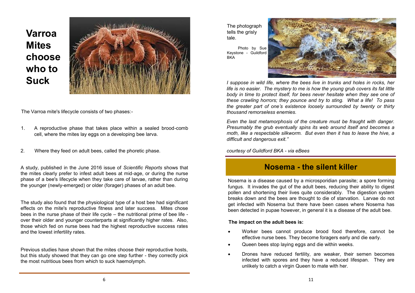# **Varroa Mites choose who to Suck**



The Varroa mite's lifecycle consists of two phases:-

- 1. A reproductive phase that takes place within a sealed brood-comb cell, where the mites lay eggs on a developing bee larva.
- 2. Where they feed on adult bees, called the phoretic phase.

A study, published in the June 2016 issue of *Scientific Reports* shows that the mites clearly prefer to infest adult bees at mid-age, or during the nurse phase of a bee's lifecycle when they take care of larvae, rather than during the younger (newly-emerged) or older (forager) phases of an adult bee.

The study also found that the physiological type of a host bee had significant effects on the mite's reproductive fitness and later success. Mites chose bees in the nurse phase of their life cycle – the nutritional prime of bee life over their older and younger counterparts at significantly higher rates. Also, those which fed on nurse bees had the highest reproductive success rates and the lowest infertility rates.

Previous studies have shown that the mites choose their reproductive hosts, but this study showed that they can go one step further - they correctly pick the most nutritious bees from which to suck haemolymph.

The photograph tells the grisly tale.

 Photo by Sue Keystone - Guildford **BKA** 



*I* suppose in wild life, where the bees live in trunks and holes in rocks, her *life is no easier. The mystery to me is how the young grub covers its fat little body in time to protect itself, for bees never hesitate when they see one of these crawling horrors; they pounce and try to sting. What a life! To pass the greater part of one's existence loosely surrounded by twenty or thirty thousand remorseless enemies.*

*Even the last metamorphosis of the creature must be fraught with danger. Presumably the grub eventually spins its web around itself and becomes a moth, like a respectable silkworm. But even then it has to leave the hive, a difficult and dangerous exit."*

*courtesy of Guildford BKA - via eBees*

# **Nosema - the silent killer**

Nosema is a disease caused by a microsporidian parasite; a spore forming fungus. It invades the gut of the adult bees, reducing their ability to digest pollen and shortening their lives quite considerably. The digestion system breaks down and the bees are thought to die of starvation. Larvae do not get infected with Nosema but there have been cases where Nosema has been detected in pupae however, in general it is a disease of the adult bee.

#### **The impact on the adult bees is:**

- Worker bees cannot produce brood food therefore, cannot be effective nurse bees. They become foragers early and die early.
- Queen bees stop laying eggs and die within weeks.
- Drones have reduced fertility, are weaker, their semen becomes infected with spores and they have a reduced lifespan. They are unlikely to catch a virgin Queen to mate with her.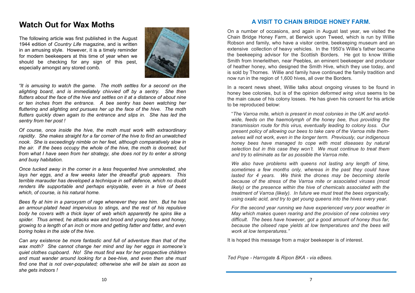# **Watch Out for Wax Moths**

The following article was first published in the August 1944 edition of *Country Life* magazine, and is written in an amusing style. However, it is a timely reminder for modern beekeepers at this time of year when we should be checking for any sign of this pest, especially amongst any stored comb.



*"It is amusing to watch the game. The moth settles for a second on the alighting board, and is immediately chivvied off by a sentry. She then flutters about the face of the hive and settles on it at a distance of about nine or ten inches from the entrance. A bee sentry has been watching her fluttering and alighting and pursues her up the face of the hive. The moth flutters quickly down again to the entrance and slips in. She has led the sentry from her post !*

*Of course, once inside the hive, the moth must work with extraordinary rapidity. She makes straight for a far corner of the hive to find an unwatched nook. She is exceedingly nimble on her feet, although comparatively slow in the air. If the bees occupy the whole of the hive, the moth is doomed, but from what I have seen from her strategy, she does not try to enter a strong and busy habitation.*

*Once tucked away in the corner in a less frequented hive unmolested, she lays her eggs, and a few weeks later the dreadful grub appears. This terrible marauder has developed a technique in self defence, which no doubt renders life supportable and perhaps enjoyable, even in a hive of bees which, of course, is his natural home.*

*Bees fly at him in a paroxysm of rage whenever they see him. But he has an armour-plated head impervious to stings, and the rest of his repulsive body he covers with a thick layer of web which apparently he spins like a spider. Thus armed, he attacks wax and brood and young bees and honey, growing to a length of an inch or more and getting fatter and fatter, and even boring holes in the side of the hive.*

*Can any existence be more fantastic and full of adventure than that of the wax moth? She cannot change her mind and lay her eggs in someone's quiet clothes cupboard. No! She must find wax for her prospective children and must wander around looking for a bee-hive, and even then she must find one that is not over-populated; otherwise she will be slain as soon as she gets indoors !*

## **A VISIT TO CHAIN BRIDGE HONEY FARM.**

On a number of occasions, and again in August last year, we visited the Chain Bridge Honey Farm, at Berwick upon Tweed, which is run by Willie Robson and family, who have a visitor centre, beekeeping museum and an extensive collection of heavy vehicles. In the 1950's Willie's father became the beekeeping advisor for the Scottish Borders. He got to know Willie Smith from Innerleithen, near Peebles, an eminent beekeeper and producer of heather honey, who designed the Smith Hive, which they use today, and is sold by Thornes. Willie and family have continued the family tradition and now run in the region of 1,600 hives, all over the Borders.

In a recent news sheet, Willie talks about ongoing viruses to be found in honey bee colonies, but is of the opinion *deformed wing virus* seems to be the main cause of his colony losses. He has given his consent for his article to be reproduced below:

"*The Varroa mite, which is present in most colonies in the UK and worldwide, feeds on the haemolymph of the honey bee, thus providing the transmission route for this virus, eventually leading to colony loss. Our present policy of allowing our bees to take care of the Varroa mite themselves will not work, even in the longer term. Previously, our indigenous honey bees have managed to cope with most diseases by natural selection but in this case they won't. We must continue to treat them and try to eliminate as far as possible the Varroa mite.*

*We also have problems with queens not lasting any length of time, sometimes a few months only, whereas in the past they could have*  lasted for 4 years. We think the drones may be becoming sterile *because of the stress of the Varroa mite or associated viruses (most likely)* or the presence within the hive of chemicals associated with the *treatment of Varroa (likely). In future we must treat the bees organically, using oxalic acid, and try to get young queens into the hives every year.*

*For the second year running we have experienced very poor weather in May which makes queen rearing and the provision of new colonies very difficult. The bees have however, got a good amount of honey thus far, because the oilseed rape yields at low temperatures and the bees will work at low temperatures."*

It is hoped this message from a major beekeeper is of interest.

*Ted Pope - Harrogate & Ripon BKA - via eBees.*